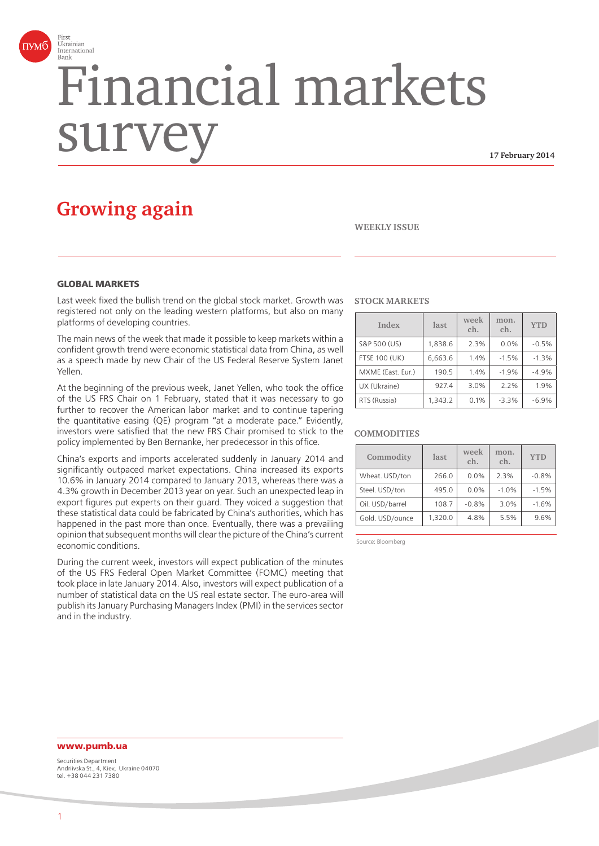

# Financial markets surv

**17 February 2014**

# **Growing again**

#### **WEEKLY ISSUE**

#### **GLOBAL MARKETS**

Last week fixed the bullish trend on the global stock market. Growth was registered not only on the leading western platforms, but also on many platforms of developing countries.

The main news of the week that made it possible to keep markets within a confident growth trend were economic statistical data from China, as well as a speech made by new Chair of the US Federal Reserve System Janet Yellen.

At the beginning of the previous week, Janet Yellen, who took the office of the US FRS Chair on 1 February, stated that it was necessary to go further to recover the American labor market and to continue tapering the quantitative easing (QE) program "at a moderate pace." Evidently, investors were satisfied that the new FRS Chair promised to stick to the policy implemented by Ben Bernanke, her predecessor in this office.

China's exports and imports accelerated suddenly in January 2014 and significantly outpaced market expectations. China increased its exports 10.6% in January 2014 compared to January 2013, whereas there was a 4.3% growth in December 2013 year on year. Such an unexpected leap in export figures put experts on their guard. They voiced a suggestion that these statistical data could be fabricated by China's authorities, which has happened in the past more than once. Eventually, there was a prevailing opinion that subsequent months will clear the picture of the China's current economic conditions.

During the current week, investors will expect publication of the minutes of the US FRS Federal Open Market Committee (FOMC) meeting that took place in late January 2014. Also, investors will expect publication of a number of statistical data on the US real estate sector. The euro-area will publish its January Purchasing Managers Index (PMI) in the services sector and in the industry.

#### **STOCK MARKETS**

| Index                | last    | week<br>ch. | mon.<br>ch. | <b>YTD</b> |
|----------------------|---------|-------------|-------------|------------|
| S&P 500 (US)         | 1,838.6 | 2.3%        | 0.0%        | $-0.5%$    |
| <b>FTSE 100 (UK)</b> | 6,663.6 | 1.4%        | $-1.5%$     | $-1.3%$    |
| MXME (East. Eur.)    | 190.5   | 1.4%        | $-1.9%$     | $-4.9%$    |
| UX (Ukraine)         | 927.4   | 3.0%        | 2.2%        | 1.9%       |
| RTS (Russia)         | 1,343.2 | 0.1%        | $-3.3%$     | $-6.9%$    |

#### **COMMODITIES**

| Commodity       | last    | week<br>ch. | mon.<br>ch. | <b>YTD</b> |
|-----------------|---------|-------------|-------------|------------|
| Wheat. USD/ton  | 266.0   | 0.0%        | 2.3%        | $-0.8%$    |
| Steel. USD/ton  | 495.0   | 0.0%        | $-1.0%$     | $-1.5%$    |
| Oil. USD/barrel | 108.7   | $-0.8%$     | 3.0%        | $-1.6%$    |
| Gold. USD/ounce | 1,320.0 | 4.8%        | 5.5%        | 9.6%       |

Source: Bloomberg

# **www.pumb.ua**

Securities Department Andriivska St., 4, Kiev, Ukraine 04070 tel. +38 044 231 7380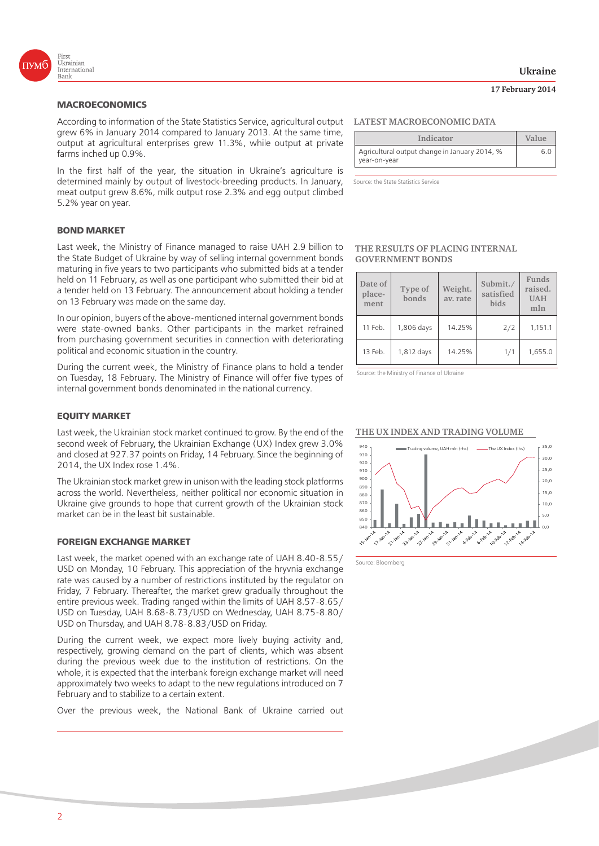

According to information of the State Statistics Service, agricultural output grew 6% in January 2014 compared to January 2013. At the same time, output at agricultural enterprises grew 11.3%, while output at private farms inched up 0.9%.

In the first half of the year, the situation in Ukraine's agriculture is determined mainly by output of livestock-breeding products. In January, meat output grew 8.6%, milk output rose 2.3% and egg output climbed 5.2% year on year.

#### **BOND MARKET**

Last week, the Ministry of Finance managed to raise UAH 2.9 billion to the State Budget of Ukraine by way of selling internal government bonds maturing in five years to two participants who submitted bids at a tender held on 11 February, as well as one participant who submitted their bid at a tender held on 13 February. The announcement about holding a tender on 13 February was made on the same day.

In our opinion, buyers of the above-mentioned internal government bonds were state-owned banks. Other participants in the market refrained from purchasing government securities in connection with deteriorating political and economic situation in the country.

During the current week, the Ministry of Finance plans to hold a tender on Tuesday, 18 February. The Ministry of Finance will offer five types of internal government bonds denominated in the national currency.

#### **EQUITY MARKET**

Last week, the Ukrainian stock market continued to grow. By the end of the second week of February, the Ukrainian Exchange (UX) Index grew 3.0% and closed at 927.37 points on Friday, 14 February. Since the beginning of 2014, the UX Index rose 1.4%.

The Ukrainian stock market grew in unison with the leading stock platforms across the world. Nevertheless, neither political nor economic situation in Ukraine give grounds to hope that current growth of the Ukrainian stock market can be in the least bit sustainable.

#### **FOREIGN EXCHANGE MARKET**

Last week, the market opened with an exchange rate of UAH 8.40-8.55/ USD on Monday, 10 February. This appreciation of the hryvnia exchange rate was caused by a number of restrictions instituted by the regulator on Friday, 7 February. Thereafter, the market grew gradually throughout the entire previous week. Trading ranged within the limits of UAH 8.57-8.65/ USD on Tuesday, UAH 8.68-8.73/USD on Wednesday, UAH 8.75-8.80/ USD on Thursday, and UAH 8.78-8.83/USD on Friday.

During the current week, we expect more lively buying activity and, respectively, growing demand on the part of clients, which was absent during the previous week due to the institution of restrictions. On the whole, it is expected that the interbank foreign exchange market will need approximately two weeks to adapt to the new regulations introduced on 7 February and to stabilize to a certain extent.

Over the previous week, the National Bank of Ukraine carried out

#### **LATEST MACROECONOMIC DATA**

| Indicator                                                     | Value |
|---------------------------------------------------------------|-------|
| Agricultural output change in January 2014, %<br>year-on-year |       |

Source: the State Statistics Service

#### **THE RESULTS OF PLACING INTERNAL GOVERNMENT BONDS**

| Date of<br>place-<br>ment | Type of<br>bonds | Weight.<br>av. rate | Submit./<br>satisfied<br>bids | Funds<br>raised.<br><b>UAH</b><br>mln |
|---------------------------|------------------|---------------------|-------------------------------|---------------------------------------|
| 11 Feb.                   | 1,806 days       | 14.25%              | 2/2                           | 1,151.1                               |
| 13 Feb.                   | 1,812 days       | 14.25%              | 1/1                           | 1,655.0                               |

Source: the Ministry of Finance of Ukraine

#### **THE UX INDEX AND TRADING VOLUME**



Source: Bloomberg

### **Ukraine**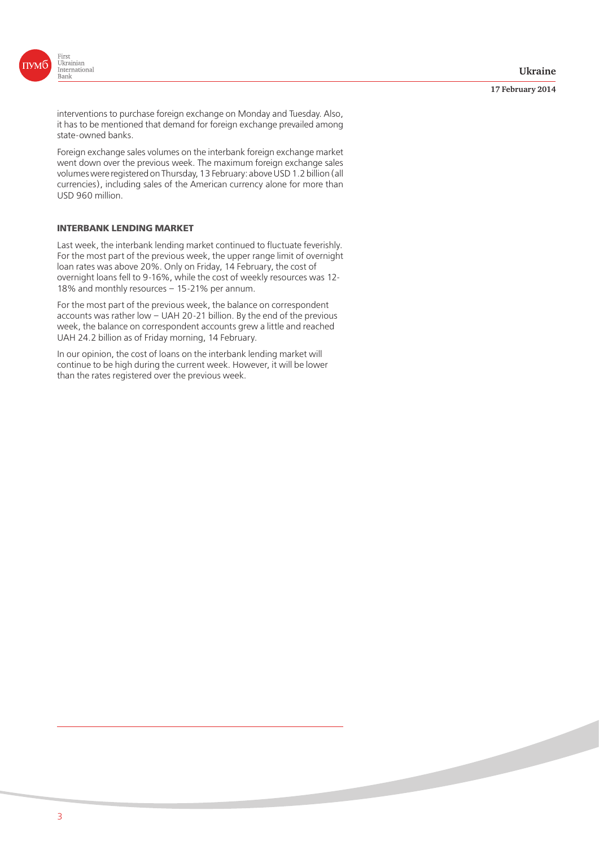

#### **17 February 2014**

interventions to purchase foreign exchange on Monday and Tuesday. Also, it has to be mentioned that demand for foreign exchange prevailed among state-owned banks.

Foreign exchange sales volumes on the interbank foreign exchange market went down over the previous week. The maximum foreign exchange sales volumes were registered on Thursday, 13 February: above USD 1.2 billion (all currencies), including sales of the American currency alone for more than USD 960 million.

## **INTERBANK LENDING MARKET**

Last week, the interbank lending market continued to fluctuate feverishly. For the most part of the previous week, the upper range limit of overnight loan rates was above 20%. Only on Friday, 14 February, the cost of overnight loans fell to 9-16%, while the cost of weekly resources was 12- 18% and monthly resources – 15-21% per annum.

For the most part of the previous week, the balance on correspondent accounts was rather low – UAH 20-21 billion. By the end of the previous week, the balance on correspondent accounts grew a little and reached UAH 24.2 billion as of Friday morning, 14 February.

In our opinion, the cost of loans on the interbank lending market will continue to be high during the current week. However, it will be lower than the rates registered over the previous week.